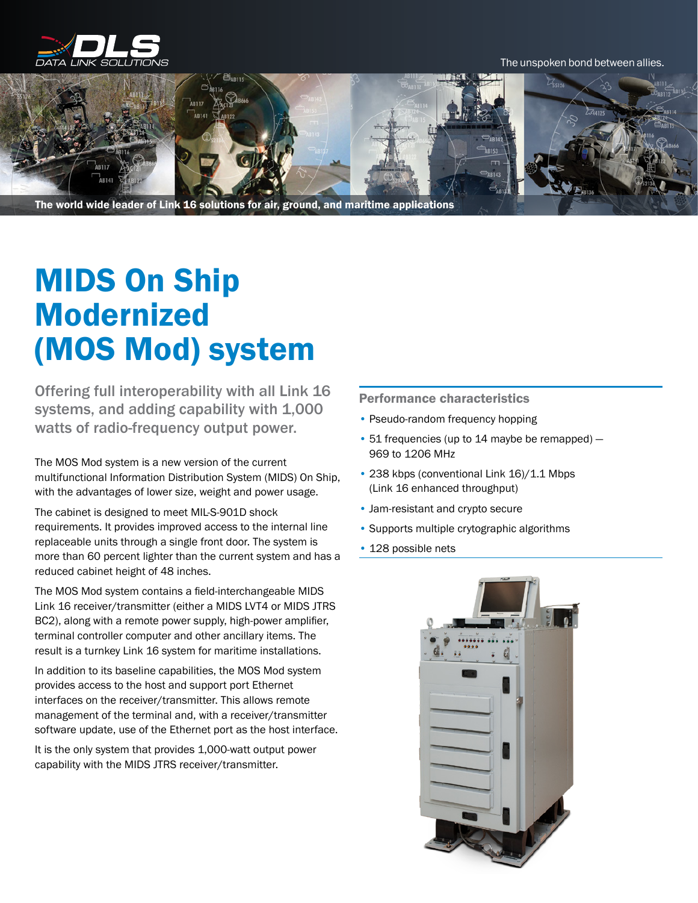

The unspoken bond between allies.



The world wide leader of Link 16 solutions for air, ground, and maritime applications

## MIDS On Ship Modernized (MOS Mod) system

Offering full interoperability with all Link 16 systems, and adding capability with 1,000 watts of radio-frequency output power.

The MOS Mod system is a new version of the current multifunctional Information Distribution System (MIDS) On Ship, with the advantages of lower size, weight and power usage.

The cabinet is designed to meet MIL-S-901D shock requirements. It provides improved access to the internal line replaceable units through a single front door. The system is more than 60 percent lighter than the current system and has a reduced cabinet height of 48 inches.

The MOS Mod system contains a field-interchangeable MIDS Link 16 receiver/transmitter (either a MIDS LVT4 or MIDS JTRS BC2), along with a remote power supply, high-power amplifier, terminal controller computer and other ancillary items. The result is a turnkey Link 16 system for maritime installations.

In addition to its baseline capabilities, the MOS Mod system provides access to the host and support port Ethernet interfaces on the receiver/transmitter. This allows remote management of the terminal and, with a receiver/transmitter software update, use of the Ethernet port as the host interface.

It is the only system that provides 1,000-watt output power capability with the MIDS JTRS receiver/transmitter.

Performance characteristics

- Pseudo-random frequency hopping
- 51 frequencies (up to 14 maybe be remapped) 969 to 1206 MHz
- 238 kbps (conventional Link 16)/1.1 Mbps (Link 16 enhanced throughput)
- Jam-resistant and crypto secure
- Supports multiple crytographic algorithms
- 128 possible nets